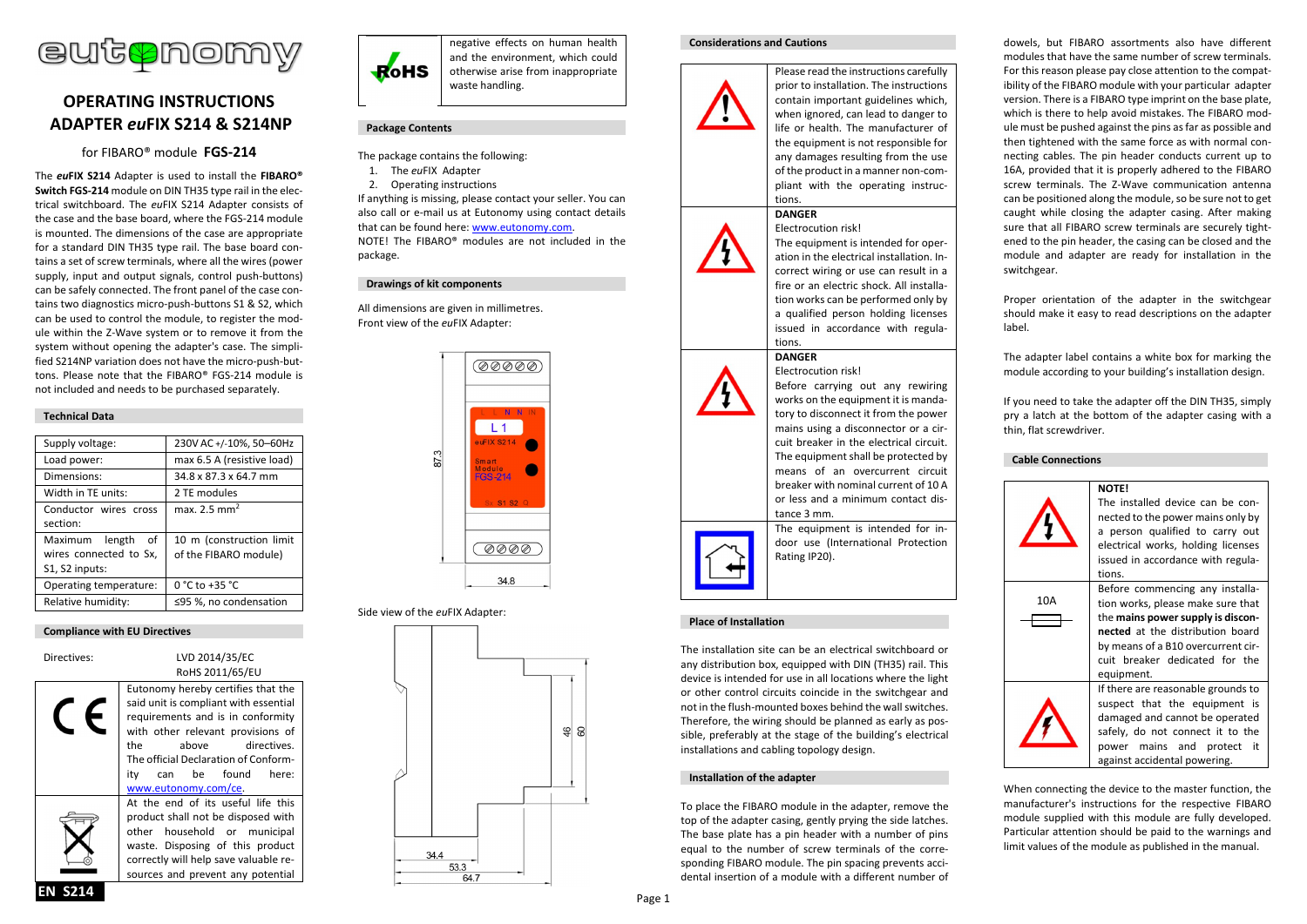

# **OPERATING INSTRUCTIONS ADAPTER** *eu***FIX S214 & S214NP**

for FIBARO® module **FGS-214**

The *eu***FIX S214** Adapter is used to install the **FIBARO® Switch FGS-214** module on DIN TH35 type rail in the electrical switchboard. The *eu*FIX S214 Adapter consists of the case and the base board, where the FGS-214 module is mounted. The dimensions of the case are appropriate for a standard DIN TH35 type rail. The base board contains a set of screw terminals, where all the wires (power supply, input and output signals, control push-buttons) can be safely connected. The front panel of the case contains two diagnostics micro-push-buttons S1 & S2, which can be used to control the module, to register the module within the Z-Wave system or to remove it from the system without opening the adapter's case. The simplified S214NP variation does not have the micro-push-buttons. Please note that the FIBARO® FGS-214 module is not included and needs to be purchased separately.

# **Technical Data**

| Supply voltage:                                                  | 230V AC +/-10%, 50-60Hz                           |
|------------------------------------------------------------------|---------------------------------------------------|
| Load power:                                                      | max 6.5 A (resistive load)                        |
| Dimensions:                                                      | 34.8 x 87.3 x 64.7 mm                             |
| Width in TE units:                                               | 2 TE modules                                      |
| Conductor wires cross<br>section:                                | max. 2.5 mm <sup>2</sup>                          |
| Maximum length<br>of<br>wires connected to Sx,<br>S1, S2 inputs: | 10 m (construction limit<br>of the FIBARO module) |
| Operating temperature:                                           | 0 °C to +35 °C                                    |
| Relative humidity:                                               | ≤95 %, no condensation                            |

#### **Compliance with EU Directives**

| Directives: | LVD 2014/35/EC<br>RoHS 2011/65/EU                                                                                                                                                                                                                                                 |
|-------------|-----------------------------------------------------------------------------------------------------------------------------------------------------------------------------------------------------------------------------------------------------------------------------------|
|             | Eutonomy hereby certifies that the<br>said unit is compliant with essential<br>requirements and is in conformity<br>with other relevant provisions of<br>the<br>above directives.<br>The official Declaration of Conform-<br>can be found<br>here:<br>itv<br>www.eutonomy.com/ce. |
|             | At the end of its useful life this<br>product shall not be disposed with<br>other household or municipal<br>waste. Disposing of this product<br>correctly will help save valuable re-<br>sources and prevent any potential                                                        |



negative effects on human health and the environment, which could otherwise arise from inappropriate waste handling.

# **Package Contents**

- The package contains the following:
- 1. The *eu*FIX Adapter
- 2. Operating instructions

If anything is missing, please contact your seller. You can also call or e-mail us at Eutonomy using contact details that can be found here: www.eutonomy.com. NOTE! The FIBARO® modules are not included in the package.

### **Drawings of kit components**

All dimensions are given in millimetres. Front view of the *eu*FIX Adapter:



# Side view of the *eu*FIX Adapter:



#### **Considerations and Cautions**



Please read the instructions carefully prior to installation. The instructions contain important guidelines which, when ignored, can lead to danger to life or health. The manufacturer of the equipment is not responsible for any damages resulting from the use of the product in a manner non-compliant with the operating instructions.

#### **DANGER** Electrocution risk!



The equipment is intended for operation in the electrical installation. Incorrect wiring or use can result in a fire or an electric shock. All installation works can be performed only by a qualified person holding licenses issued in accordance with regulations.

Before carrying out any rewiring works on the equipment it is mandatory to disconnect it from the power mains using a disconnector or a circuit breaker in the electrical circuit. The equipment shall be protected by means of an overcurrent circuit breaker with nominal current of 10 A or less and a minimum contact dis-

#### **DANGER** Electrocution risk!

tance 3 mm.





The equipment is intended for indoor use (International Protection Rating IP20).

# **Place of Installation**

The installation site can be an electrical switchboard or any distribution box, equipped with DIN (TH35) rail. This device is intended for use in all locations where the light or other control circuits coincide in the switchgear and not in the flush-mounted boxes behind the wall switches. Therefore, the wiring should be planned as early as possible, preferably at the stage of the building's electrical installations and cabling topology design.

#### **Installation of the adapter**

To place the FIBARO module in the adapter, remove the top of the adapter casing, gently prying the side latches. The base plate has a pin header with a number of pins equal to the number of screw terminals of the corresponding FIBARO module. The pin spacing prevents accidental insertion of a module with a different number of dowels, but FIBARO assortments also have different modules that have the same number of screw terminals. For this reason please pay close attention to the compatibility of the FIBARO module with your particular adapter version. There is a FIBARO type imprint on the base plate, which is there to help avoid mistakes. The FIBARO module must be pushed against the pins as far as possible and then tightened with the same force as with normal connecting cables. The pin header conducts current up to 16A, provided that it is properly adhered to the FIBARO screw terminals. The Z-Wave communication antenna can be positioned along the module, so be sure not to get caught while closing the adapter casing. After making sure that all FIBARO screw terminals are securely tightened to the pin header, the casing can be closed and the module and adapter are ready for installation in the switchgear.

Proper orientation of the adapter in the switchgear should make it easy to read descriptions on the adapter label.

The adapter label contains a white box for marking the module according to your building's installation design.

If you need to take the adapter off the DIN TH35, simply pry a latch at the bottom of the adapter casing with a thin, flat screwdriver.

#### **Cable Connections**



When connecting the device to the master function, the manufacturer's instructions for the respective FIBARO module supplied with this module are fully developed. Particular attention should be paid to the warnings and limit values of the module as published in the manual.